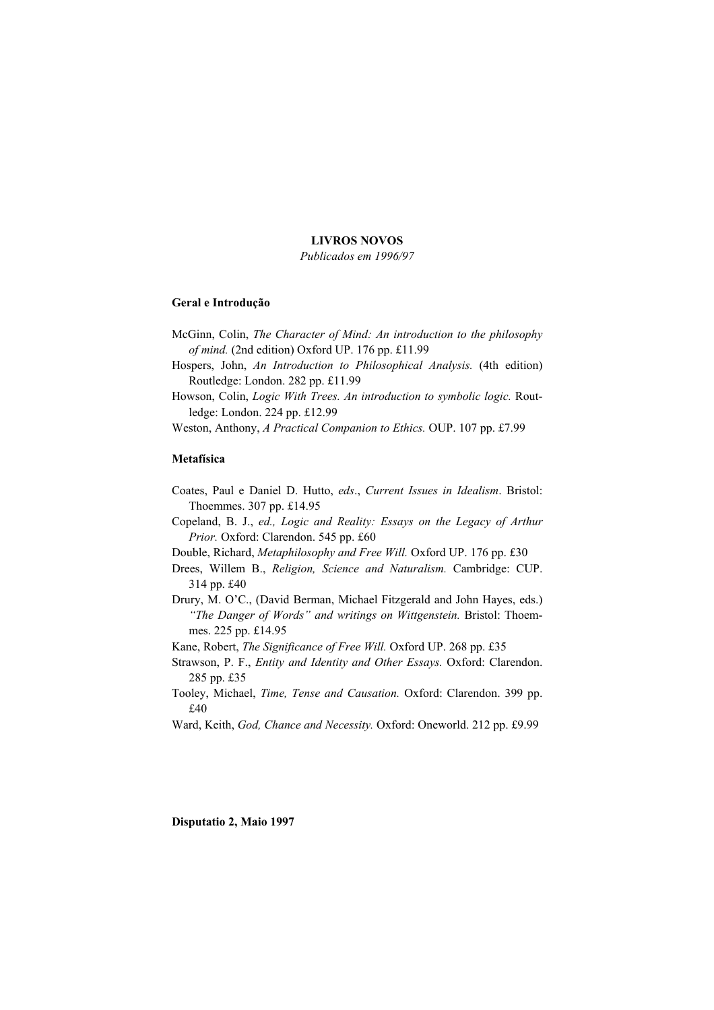## **LIVROS NOVOS**

*Publicados em 1996/97*

#### **Geral e Introdução**

- McGinn, Colin, *The Character of Mind: An introduction to the philosophy of mind.* (2nd edition) Oxford UP. 176 pp. £11.99
- Hospers, John, *An Introduction to Philosophical Analysis.* (4th edition) Routledge: London. 282 pp. £11.99
- Howson, Colin, *Logic With Trees. An introduction to symbolic logic.* Routledge: London. 224 pp. £12.99
- Weston, Anthony, *A Practical Companion to Ethics.* OUP. 107 pp. £7.99

## **Metafísica**

- Coates, Paul e Daniel D. Hutto, *eds*., *Current Issues in Idealism*. Bristol: Thoemmes. 307 pp. £14.95
- Copeland, B. J., *ed., Logic and Reality: Essays on the Legacy of Arthur Prior.* Oxford: Clarendon. 545 pp. £60
- Double, Richard, *Metaphilosophy and Free Will.* Oxford UP. 176 pp. £30
- Drees, Willem B., *Religion, Science and Naturalism.* Cambridge: CUP. 314 pp. £40
- Drury, M. O'C., (David Berman, Michael Fitzgerald and John Hayes, eds.) *"The Danger of Words" and writings on Wittgenstein.* Bristol: Thoemmes. 225 pp. £14.95
- Kane, Robert, *The Significance of Free Will.* Oxford UP. 268 pp. £35
- Strawson, P. F., *Entity and Identity and Other Essays.* Oxford: Clarendon. 285 pp. £35
- Tooley, Michael, *Time, Tense and Causation.* Oxford: Clarendon. 399 pp. £40
- Ward, Keith, *God, Chance and Necessity.* Oxford: Oneworld. 212 pp. £9.99

**Disputatio 2, Maio 1997**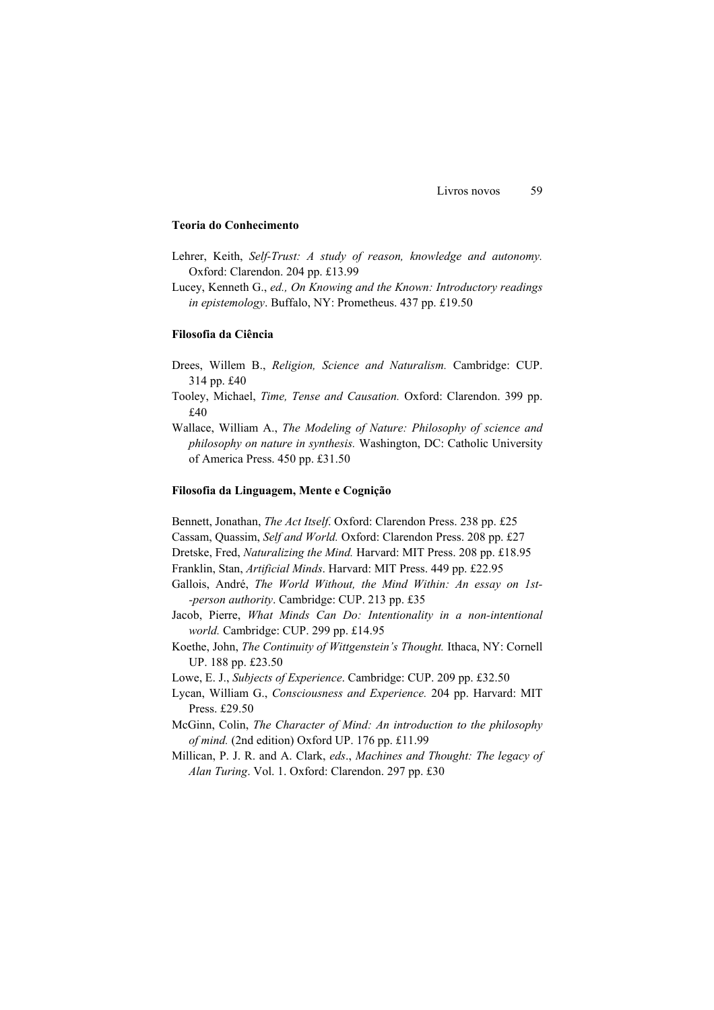#### **Teoria do Conhecimento**

- Lehrer, Keith, *Self-Trust: A study of reason, knowledge and autonomy.* Oxford: Clarendon. 204 pp. £13.99
- Lucey, Kenneth G., *ed., On Knowing and the Known: Introductory readings in epistemology*. Buffalo, NY: Prometheus. 437 pp. £19.50

## **Filosofia da Ciência**

- Drees, Willem B., *Religion, Science and Naturalism.* Cambridge: CUP. 314 pp. £40
- Tooley, Michael, *Time, Tense and Causation.* Oxford: Clarendon. 399 pp. £40
- Wallace, William A., *The Modeling of Nature: Philosophy of science and philosophy on nature in synthesis.* Washington, DC: Catholic University of America Press. 450 pp. £31.50

### **Filosofia da Linguagem, Mente e Cognição**

Bennett, Jonathan, *The Act Itself*. Oxford: Clarendon Press. 238 pp. £25

- Cassam, Quassim, *Self and World.* Oxford: Clarendon Press. 208 pp. £27
- Dretske, Fred, *Naturalizing the Mind.* Harvard: MIT Press. 208 pp. £18.95
- Franklin, Stan, *Artificial Minds*. Harvard: MIT Press. 449 pp. £22.95
- Gallois, André, *The World Without, the Mind Within: An essay on 1st- -person authority*. Cambridge: CUP. 213 pp. £35
- Jacob, Pierre, *What Minds Can Do: Intentionality in a non-intentional world.* Cambridge: CUP. 299 pp. £14.95
- Koethe, John, *The Continuity of Wittgenstein's Thought.* Ithaca, NY: Cornell UP. 188 pp. £23.50

Lowe, E. J., *Subjects of Experience*. Cambridge: CUP. 209 pp. £32.50

- Lycan, William G., *Consciousness and Experience.* 204 pp. Harvard: MIT Press. £29.50
- McGinn, Colin, *The Character of Mind: An introduction to the philosophy of mind.* (2nd edition) Oxford UP. 176 pp. £11.99
- Millican, P. J. R. and A. Clark, *eds*., *Machines and Thought: The legacy of Alan Turing*. Vol. 1. Oxford: Clarendon. 297 pp. £30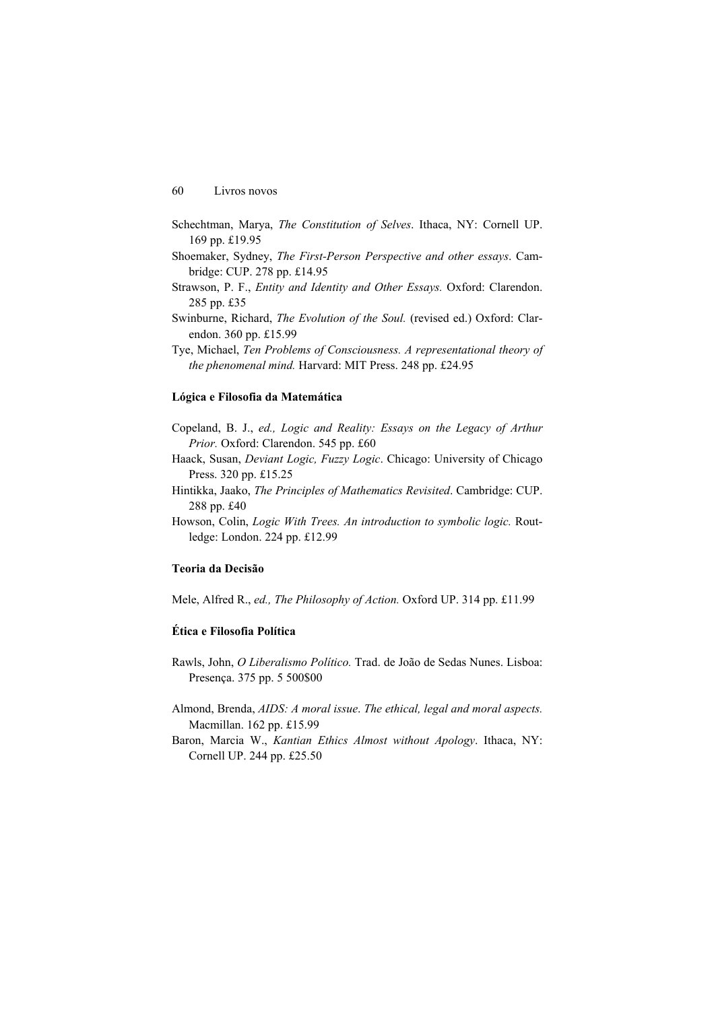- Schechtman, Marya, *The Constitution of Selves*. Ithaca, NY: Cornell UP. 169 pp. £19.95
- Shoemaker, Sydney, *The First-Person Perspective and other essays*. Cambridge: CUP. 278 pp. £14.95
- Strawson, P. F., *Entity and Identity and Other Essays.* Oxford: Clarendon. 285 pp. £35
- Swinburne, Richard, *The Evolution of the Soul.* (revised ed.) Oxford: Clarendon. 360 pp. £15.99
- Tye, Michael, *Ten Problems of Consciousness. A representational theory of the phenomenal mind.* Harvard: MIT Press. 248 pp. £24.95

#### **Lógica e Filosofia da Matemática**

- Copeland, B. J., *ed., Logic and Reality: Essays on the Legacy of Arthur Prior.* Oxford: Clarendon. 545 pp. £60
- Haack, Susan, *Deviant Logic, Fuzzy Logic*. Chicago: University of Chicago Press. 320 pp. £15.25
- Hintikka, Jaako, *The Principles of Mathematics Revisited*. Cambridge: CUP. 288 pp. £40
- Howson, Colin, *Logic With Trees. An introduction to symbolic logic.* Routledge: London. 224 pp. £12.99

### **Teoria da Decisão**

Mele, Alfred R., *ed., The Philosophy of Action.* Oxford UP. 314 pp. £11.99

# **Ética e Filosofia Política**

- Rawls, John, *O Liberalismo Político.* Trad. de João de Sedas Nunes. Lisboa: Presença. 375 pp. 5 500\$00
- Almond, Brenda, *AIDS: A moral issue*. *The ethical, legal and moral aspects.* Macmillan. 162 pp. £15.99
- Baron, Marcia W., *Kantian Ethics Almost without Apology*. Ithaca, NY: Cornell UP. 244 pp. £25.50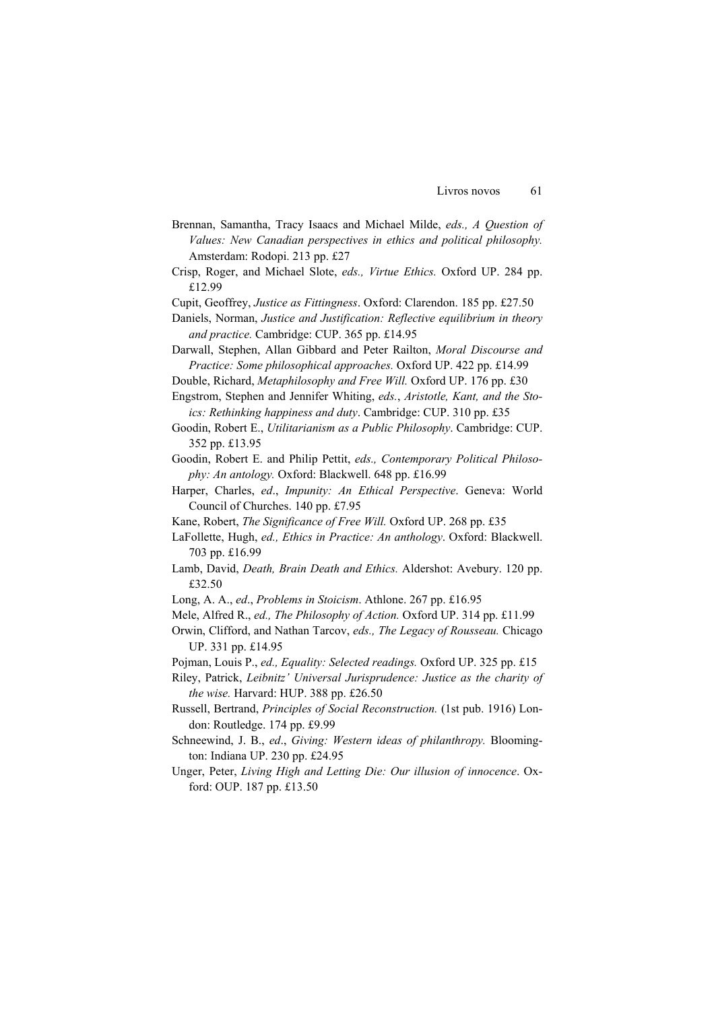- Brennan, Samantha, Tracy Isaacs and Michael Milde, *eds., A Question of Values: New Canadian perspectives in ethics and political philosophy.* Amsterdam: Rodopi. 213 pp. £27
- Crisp, Roger, and Michael Slote, *eds., Virtue Ethics.* Oxford UP. 284 pp. £12.99
- Cupit, Geoffrey, *Justice as Fittingness*. Oxford: Clarendon. 185 pp. £27.50
- Daniels, Norman, *Justice and Justification: Reflective equilibrium in theory and practice.* Cambridge: CUP. 365 pp. £14.95
- Darwall, Stephen, Allan Gibbard and Peter Railton, *Moral Discourse and Practice: Some philosophical approaches.* Oxford UP. 422 pp. £14.99
- Double, Richard, *Metaphilosophy and Free Will.* Oxford UP. 176 pp. £30

Engstrom, Stephen and Jennifer Whiting, *eds.*, *Aristotle, Kant, and the Stoics: Rethinking happiness and duty*. Cambridge: CUP. 310 pp. £35

- Goodin, Robert E., *Utilitarianism as a Public Philosophy*. Cambridge: CUP. 352 pp. £13.95
- Goodin, Robert E. and Philip Pettit, *eds., Contemporary Political Philosophy: An antology.* Oxford: Blackwell. 648 pp. £16.99
- Harper, Charles, *ed*., *Impunity: An Ethical Perspective*. Geneva: World Council of Churches. 140 pp. £7.95
- Kane, Robert, *The Significance of Free Will.* Oxford UP. 268 pp. £35
- LaFollette, Hugh, *ed., Ethics in Practice: An anthology*. Oxford: Blackwell. 703 pp. £16.99
- Lamb, David, *Death, Brain Death and Ethics.* Aldershot: Avebury. 120 pp. £32.50
- Long, A. A., *ed*., *Problems in Stoicism*. Athlone. 267 pp. £16.95
- Mele, Alfred R., *ed., The Philosophy of Action.* Oxford UP. 314 pp. £11.99
- Orwin, Clifford, and Nathan Tarcov, *eds., The Legacy of Rousseau.* Chicago UP. 331 pp. £14.95
- Pojman, Louis P., *ed., Equality: Selected readings.* Oxford UP. 325 pp. £15
- Riley, Patrick, *Leibnitz' Universal Jurisprudence: Justice as the charity of the wise.* Harvard: HUP. 388 pp. £26.50
- Russell, Bertrand, *Principles of Social Reconstruction.* (1st pub. 1916) London: Routledge. 174 pp. £9.99
- Schneewind, J. B., *ed*., *Giving: Western ideas of philanthropy.* Bloomington: Indiana UP. 230 pp. £24.95
- Unger, Peter, *Living High and Letting Die: Our illusion of innocence*. Oxford: OUP. 187 pp. £13.50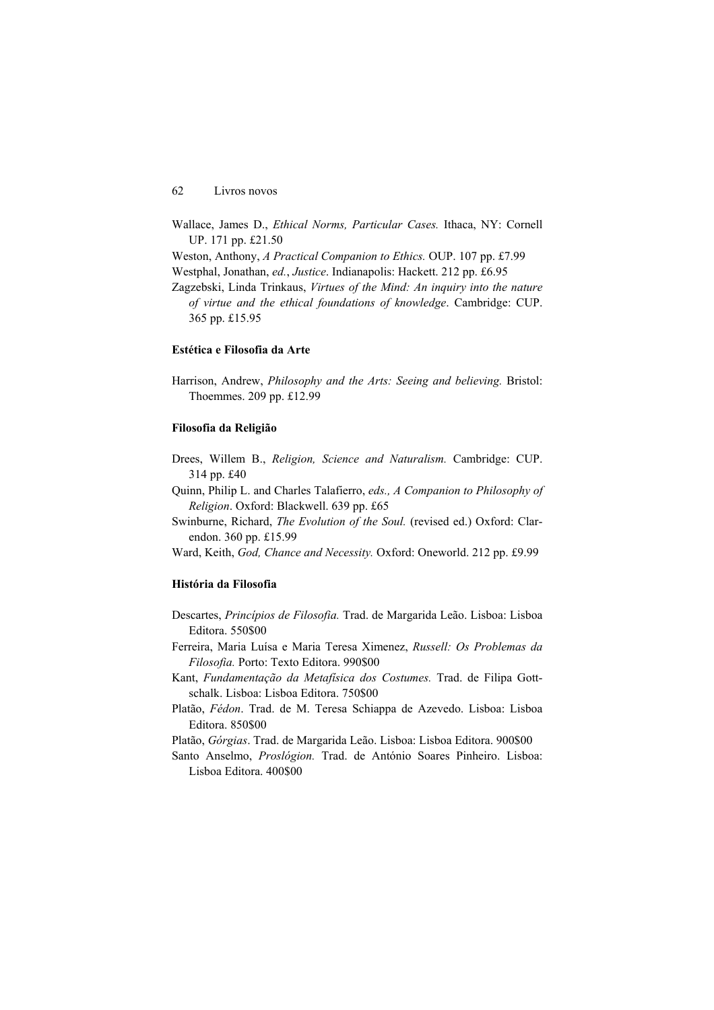62 Livros novos

Wallace, James D., *Ethical Norms, Particular Cases.* Ithaca, NY: Cornell UP. 171 pp. £21.50 Weston, Anthony, *A Practical Companion to Ethics.* OUP. 107 pp. £7.99 Westphal, Jonathan, *ed.*, *Justice*. Indianapolis: Hackett. 212 pp. £6.95 Zagzebski, Linda Trinkaus, *Virtues of the Mind: An inquiry into the nature of virtue and the ethical foundations of knowledge*. Cambridge: CUP. 365 pp. £15.95

#### **Estética e Filosofia da Arte**

Harrison, Andrew, *Philosophy and the Arts: Seeing and believing.* Bristol: Thoemmes. 209 pp. £12.99

### **Filosofia da Religião**

Drees, Willem B., *Religion, Science and Naturalism.* Cambridge: CUP. 314 pp. £40

Quinn, Philip L. and Charles Talafierro, *eds., A Companion to Philosophy of Religion*. Oxford: Blackwell. 639 pp. £65

Swinburne, Richard, *The Evolution of the Soul.* (revised ed.) Oxford: Clarendon. 360 pp. £15.99

Ward, Keith, *God, Chance and Necessity.* Oxford: Oneworld. 212 pp. £9.99

# **História da Filosofia**

- Descartes, *Princípios de Filosofia.* Trad. de Margarida Leão. Lisboa: Lisboa Editora. 550\$00
- Ferreira, Maria Luísa e Maria Teresa Ximenez, *Russell: Os Problemas da Filosofia.* Porto: Texto Editora. 990\$00
- Kant, *Fundamentação da Metafísica dos Costumes.* Trad. de Filipa Gottschalk. Lisboa: Lisboa Editora. 750\$00
- Platão, *Fédon*. Trad. de M. Teresa Schiappa de Azevedo. Lisboa: Lisboa Editora. 850\$00

Platão, *Górgias*. Trad. de Margarida Leão. Lisboa: Lisboa Editora. 900\$00

Santo Anselmo, *Proslógion.* Trad. de António Soares Pinheiro. Lisboa: Lisboa Editora. 400\$00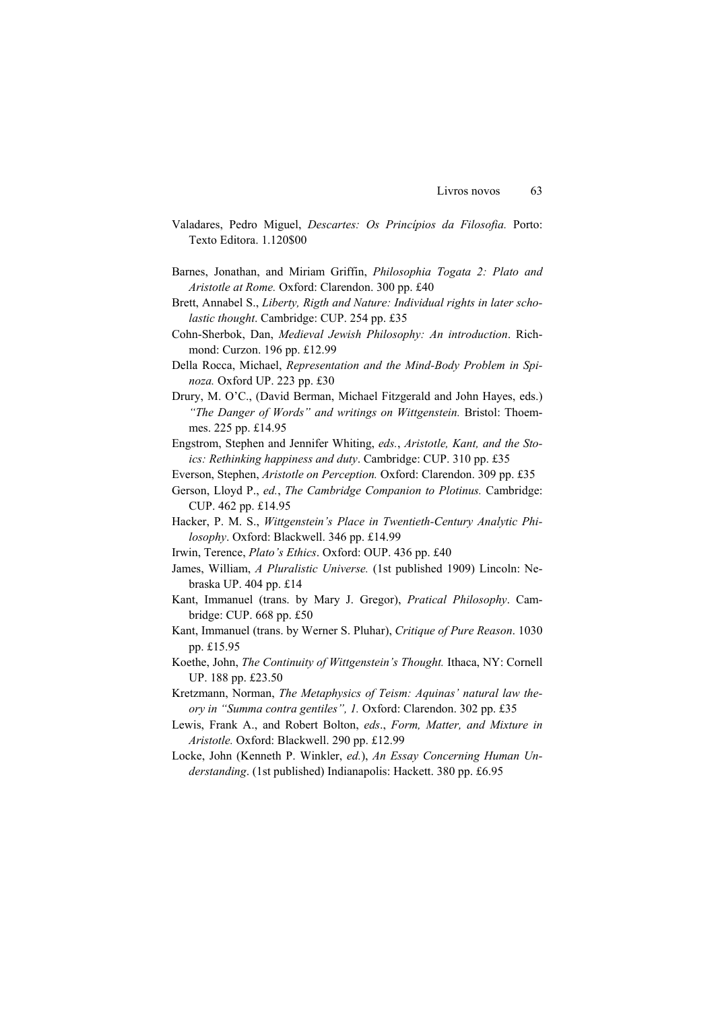- Valadares, Pedro Miguel, *Descartes: Os Princípios da Filosofia.* Porto: Texto Editora. 1.120\$00
- Barnes, Jonathan, and Miriam Griffin, *Philosophia Togata 2: Plato and Aristotle at Rome.* Oxford: Clarendon. 300 pp. £40
- Brett, Annabel S., *Liberty, Rigth and Nature: Individual rights in later scholastic thought*. Cambridge: CUP. 254 pp. £35
- Cohn-Sherbok, Dan, *Medieval Jewish Philosophy: An introduction*. Richmond: Curzon. 196 pp. £12.99
- Della Rocca, Michael, *Representation and the Mind-Body Problem in Spinoza.* Oxford UP. 223 pp. £30
- Drury, M. O'C., (David Berman, Michael Fitzgerald and John Hayes, eds.) *"The Danger of Words" and writings on Wittgenstein.* Bristol: Thoemmes. 225 pp. £14.95
- Engstrom, Stephen and Jennifer Whiting, *eds.*, *Aristotle, Kant, and the Stoics: Rethinking happiness and duty*. Cambridge: CUP. 310 pp. £35
- Everson, Stephen, *Aristotle on Perception.* Oxford: Clarendon. 309 pp. £35
- Gerson, Lloyd P., *ed.*, *The Cambridge Companion to Plotinus.* Cambridge: CUP. 462 pp. £14.95
- Hacker, P. M. S., *Wittgenstein's Place in Twentieth-Century Analytic Philosophy*. Oxford: Blackwell. 346 pp. £14.99
- Irwin, Terence, *Plato's Ethics*. Oxford: OUP. 436 pp. £40
- James, William, *A Pluralistic Universe.* (1st published 1909) Lincoln: Nebraska UP. 404 pp. £14
- Kant, Immanuel (trans. by Mary J. Gregor), *Pratical Philosophy*. Cambridge: CUP. 668 pp. £50
- Kant, Immanuel (trans. by Werner S. Pluhar), *Critique of Pure Reason*. 1030 pp. £15.95
- Koethe, John, *The Continuity of Wittgenstein's Thought.* Ithaca, NY: Cornell UP. 188 pp. £23.50
- Kretzmann, Norman, *The Metaphysics of Teism: Aquinas' natural law theory in "Summa contra gentiles", 1.* Oxford: Clarendon. 302 pp. £35
- Lewis, Frank A., and Robert Bolton, *eds*., *Form, Matter, and Mixture in Aristotle.* Oxford: Blackwell. 290 pp. £12.99
- Locke, John (Kenneth P. Winkler, *ed.*), *An Essay Concerning Human Understanding*. (1st published) Indianapolis: Hackett. 380 pp. £6.95